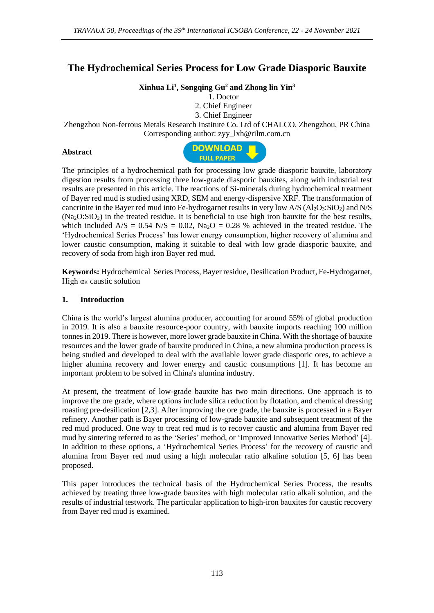# **The Hydrochemical Series Process for Low Grade Diasporic Bauxite**

## **Xinhua Li<sup>1</sup> , Songqing Gu<sup>2</sup> and Zhong lin Yin<sup>3</sup>**

1. Doctor

2. Chief Engineer

3. Chief Engineer

Zhengzhou Non-ferrous Metals Research Institute Co. Ltd of CHALCO, Zhengzhou, PR China Corresponding author: zyy\_lxh@rilm.com.cn

#### **Abstract**



The principles of a hydrochemical path for processing low grade diasporic bauxite, laboratory digestion results from processing three low-grade diasporic bauxites, along with industrial test results are presented in this article. The reactions of Si-minerals during hydrochemical treatment of Bayer red mud is studied using XRD, SEM and energy-dispersive XRF. The transformation of cancrinite in the Bayer red mud into Fe-hydrogarnet results in very low  $A/S (Al<sub>2</sub>O<sub>3</sub>:SiO<sub>2</sub>)$  and N/S  $(Na<sub>2</sub>O:SiO<sub>2</sub>)$  in the treated residue. It is beneficial to use high iron bauxite for the best results, which included  $A/S = 0.54 \text{ N/S} = 0.02$ ,  $Na<sub>2</sub>O = 0.28$  % achieved in the treated residue. The 'Hydrochemical Series Process' has lower energy consumption, higher recovery of alumina and lower caustic consumption, making it suitable to deal with low grade diasporic bauxite, and recovery of soda from high iron Bayer red mud.

**Keywords:** Hydrochemical Series Process, Bayer residue, Desilication Product, Fe-Hydrogarnet, High  $\alpha_K$  caustic solution

#### **1. Introduction**

China is the world's largest alumina producer, accounting for around 55% of global production in 2019. It is also a bauxite resource-poor country, with bauxite imports reaching 100 million tonnesin 2019. There is however, more lower grade bauxite in China. With the shortage of bauxite resources and the lower grade of bauxite produced in China, a new alumina production process is being studied and developed to deal with the available lower grade diasporic ores, to achieve a higher alumina recovery and lower energy and caustic consumptions [1]. It has become an important problem to be solved in China's alumina industry.

At present, the treatment of low-grade bauxite has two main directions. One approach is to improve the ore grade, where options include silica reduction by flotation, and chemical dressing roasting pre-desilication [2,3]. After improving the ore grade, the bauxite is processed in a Bayer refinery. Another path is Bayer processing of low-grade bauxite and subsequent treatment of the red mud produced. One way to treat red mud is to recover caustic and alumina from Bayer red mud by sintering referred to as the 'Series' method, or 'Improved Innovative Series Method' [4]. In addition to these options, a 'Hydrochemical Series Process' for the recovery of caustic and alumina from Bayer red mud using a high molecular ratio alkaline solution [5, 6] has been proposed.

This paper introduces the technical basis of the Hydrochemical Series Process, the results achieved by treating three low-grade bauxites with high molecular ratio alkali solution, and the results of industrial testwork. The particular application to high-iron bauxites for caustic recovery from Bayer red mud is examined.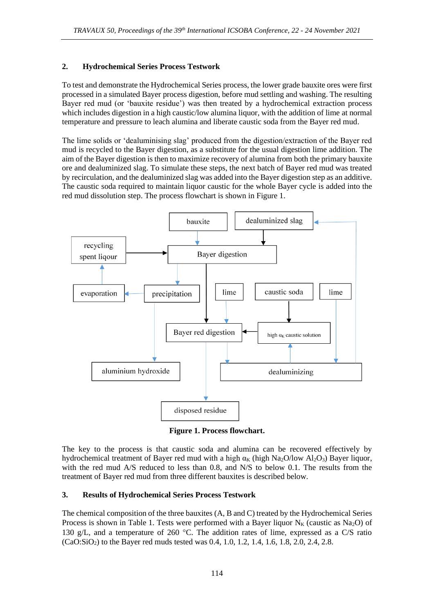## **2. Hydrochemical Series Process Testwork**

To test and demonstrate the Hydrochemical Series process, the lower grade bauxite ores were first processed in a simulated Bayer process digestion, before mud settling and washing. The resulting Bayer red mud (or 'bauxite residue') was then treated by a hydrochemical extraction process which includes digestion in a high caustic/low alumina liquor, with the addition of lime at normal temperature and pressure to leach alumina and liberate caustic soda from the Bayer red mud.

The lime solids or 'dealuminising slag' produced from the digestion/extraction of the Bayer red mud is recycled to the Bayer digestion, as a substitute for the usual digestion lime addition. The aim of the Bayer digestion is then to maximize recovery of alumina from both the primary bauxite ore and dealuminized slag. To simulate these steps, the next batch of Bayer red mud was treated by recirculation, and the dealuminized slag was added into the Bayer digestion step as an additive. The caustic soda required to maintain liquor caustic for the whole Bayer cycle is added into the red mud dissolution step. The process flowchart is shown in Figure 1.



**Figure 1. Process flowchart.**

The key to the process is that caustic soda and alumina can be recovered effectively by hydrochemical treatment of Bayer red mud with a high  $\alpha_K$  (high Na<sub>2</sub>O/low Al<sub>2</sub>O<sub>3</sub>) Bayer liquor, with the red mud A/S reduced to less than 0.8, and N/S to below 0.1. The results from the treatment of Bayer red mud from three different bauxites is described below.

## **3. Results of Hydrochemical Series Process Testwork**

The chemical composition of the three bauxites (A, B and C) treated by the Hydrochemical Series Process is shown in Table 1. Tests were performed with a Bayer liquor  $N_K$  (caustic as  $Na<sub>2</sub>O$ ) of 130 g/L, and a temperature of 260  $^{\circ}$ C. The addition rates of lime, expressed as a C/S ratio  $(CaO:SiO<sub>2</sub>)$  to the Bayer red muds tested was 0.4, 1.0, 1.2, 1.4, 1.6, 1.8, 2.0, 2.4, 2.8.